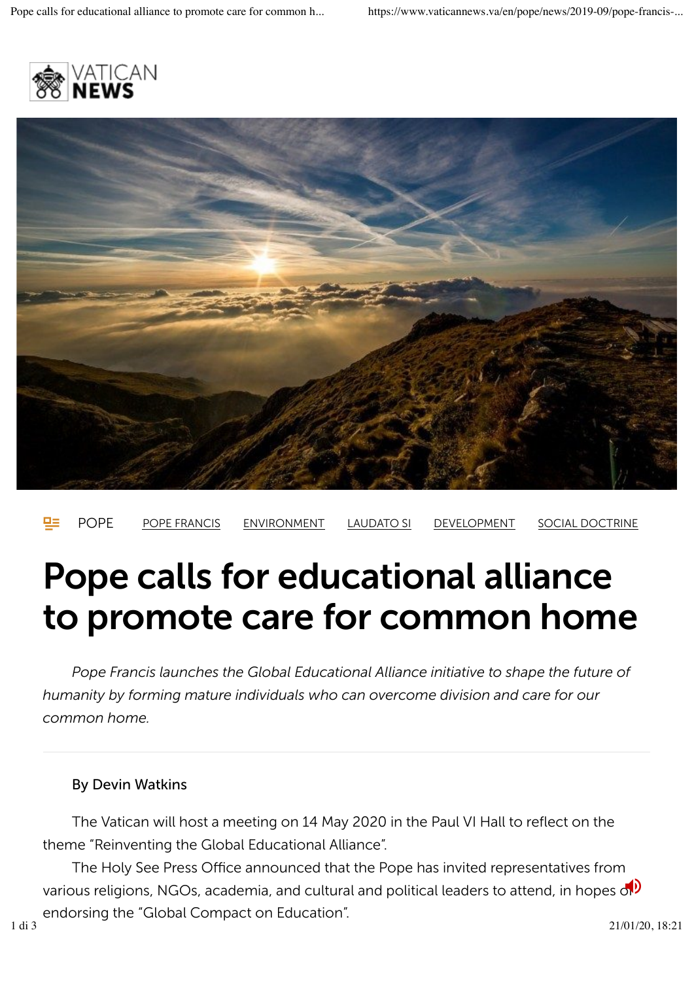



#### POPE POPE FRANCIS ENVIRONMENT LAUDATO SI DEVELOPMENT SOCIAL DOCTRINE

# Pope calls for educational alliance to promote care for common home

*Pope Francis launches the Global Educational Alliance initiative to shape the future of humanity by forming mature individuals who can overcome division and care for our common home.*

#### By Devin Watkins

The Vatican will host a meeting on 14 May 2020 in the Paul VI Hall to reflect on the theme "Reinventing the Global Educational Alliance".

The Holy See Press Office announced that the Pope has invited representatives from various religions, NGOs, academia, and cultural and political leaders to attend, in hopes  $\sigma^{(1)}$ endorsing the "Global Compact on Education". 1 di 3 21/01/20, 18:21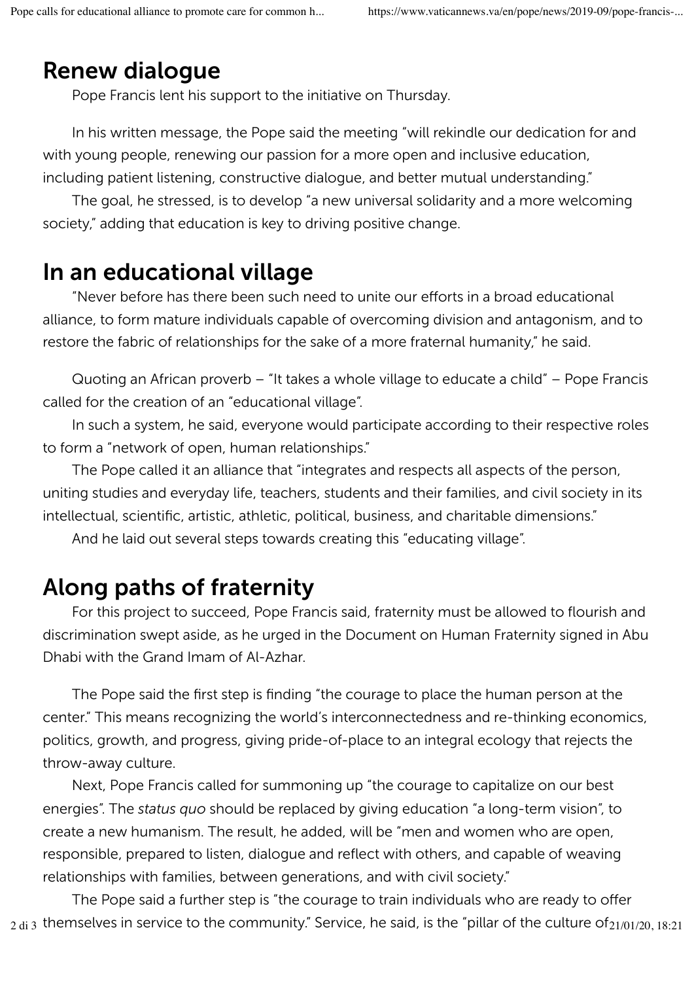### Renew dialogue

Pope Francis lent his support to the initiative on Thursday.

In his written message, the Pope said the meeting "will rekindle our dedication for and with young people, renewing our passion for a more open and inclusive education, including patient listening, constructive dialogue, and better mutual understanding."

The goal, he stressed, is to develop "a new universal solidarity and a more welcoming society," adding that education is key to driving positive change.

## In an educational village

"Never before has there been such need to unite our efforts in a broad educational alliance, to form mature individuals capable of overcoming division and antagonism, and to restore the fabric of relationships for the sake of a more fraternal humanity," he said.

Quoting an African proverb – "It takes a whole village to educate a child" – Pope Francis called for the creation of an "educational village".

In such a system, he said, everyone would participate according to their respective roles to form a "network of open, human relationships."

The Pope called it an alliance that "integrates and respects all aspects of the person, uniting studies and everyday life, teachers, students and their families, and civil society in its intellectual, scientific, artistic, athletic, political, business, and charitable dimensions."

And he laid out several steps towards creating this "educating village".

# Along paths of fraternity

For this project to succeed, Pope Francis said, fraternity must be allowed to flourish and discrimination swept aside, as he urged in the Document on Human Fraternity signed in Abu Dhabi with the Grand Imam of Al-Azhar.

The Pope said the first step is finding "the courage to place the human person at the center." This means recognizing the world's interconnectedness and re-thinking economics, politics, growth, and progress, giving pride-of-place to an integral ecology that rejects the throw-away culture.

Next, Pope Francis called for summoning up "the courage to capitalize on our best energies". The *status quo* should be replaced by giving education "a long-term vision", to create a new humanism. The result, he added, will be "men and women who are open, responsible, prepared to listen, dialogue and reflect with others, and capable of weaving relationships with families, between generations, and with civil society."

The Pope said a further step is "the courage to train individuals who are ready to offer  $_2$   $_{\rm{d}}$  3 themselves in service to the community." Service, he said, is the "pillar of the culture of $_{21/01/20,\ 18:21}$